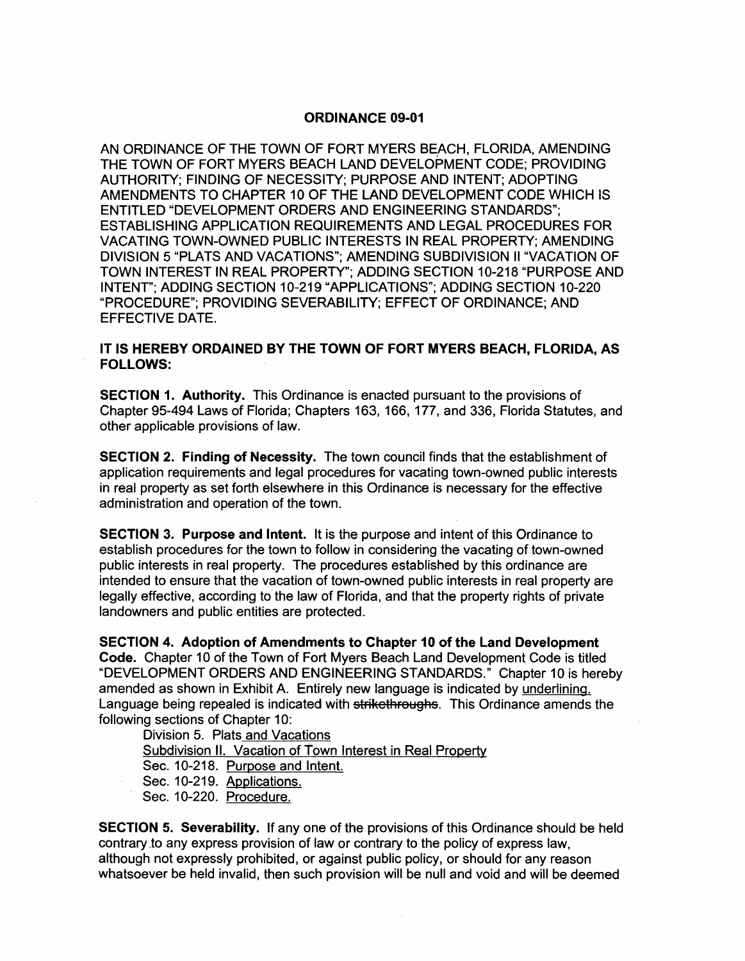#### ORDINANCE 09-01

AN ORDINANCE OF THE TOWN OF FORT MYERS BEACH, FLORIDA, AMENDING THE TOWN OF FORT MYERS BEACH LAND DEVELOPMENT CODE; PROVIDING AUTHORITY; FINDING OF NECESSITY; PURPOSE AND INTENT; ADOPTING AMENDMENTS TO CHAPTER 10 OF THE LAND DEVELOPMENT CODE WHICH IS ENTITLED "DEVELOPMENT ORDERS AND ENGINEERING STANDARDS"; ESTABLISHING APPLICATION REQUIREMENTS AND LEGAL PROCEDURES FOR VACATING TOWN-OWNED PUBLIC INTERESTS IN REAL PROPERTY; AMENDING DIVISION 5 "PLATS AND VACATIONS"; AMENDING SUBDIVISION II "VACATION OF TOWN INTEREST IN REAL PROPERTY"; ADDING SECTION 10-218 "PURPOSE AND INTENT"; ADDING SECTION 10-219 "APPLICATIONS"; ADDING SECTION 10-220 "PROCEDURE"; PROVIDING SEVERABILITY; EFFECT OF ORDINANCE; AND EFFECTIVE DATE.

#### IT IS HEREBY ORDAINED BY THE TOWN OF FORT MYERS BEACH, FLORIDA, AS FOLLOWS:

SECTION 1. Authority. This Ordinance is enacted pursuant to the provisions of Chapter 95-494 Laws of Florida; Chapters 163, 166, 177, and 336, Florida Statutes, and other applicable provisions of law.

SECTION 2. Finding of Necessity. The town council finds that the establishment of application requirements and legal procedures for vacating town-owned public interests in real property as set forth elsewhere in this Ordinance is necessary for the effective administration and operation of the town.

SECTION 3. Purpose and Intent. It is the purpose and intent of this Ordinance to establish procedures for the town to follow in considering the vacating of town-owned public interests in real property. The procedures established by this ordinance are intended to ensure that the vacation of town-owned public interests in real property are legally effective, according to the law of Florida, and that the property rights of private landowners and public entities are protected.

SECTION 4. Adoption of Amendments to Chapter 10 of the Land Development Code. Chapter 10 of the Town of Fort Myers Beach Land Development Code is titled "DEVELOPMENT ORDERS AND ENGINEERING STANDARDS." Chapter 10 is hereby amended as shown in Exhibit A. Entirely new language is indicated by underlining. Language being repealed is indicated with strikethroughs. This Ordinance amends the following sections of Chapter 10:

Division 5. Plats and Vacations Subdivision II. Vacation of Town Interest in Real Property Sec. 10-218. Purpose and Intent. Sec. 10-219. Applications. Sec. 10-220. Procedure.

SECTION 5. Severability. If anyone of the provisions of this Ordinance should be held contrary to any express provision of law or contrary to the policy of express law, although not expressly prohibited, or against public policy, or should for any reason whatsoever be held invalid, then such provision will be null and void and will be deemed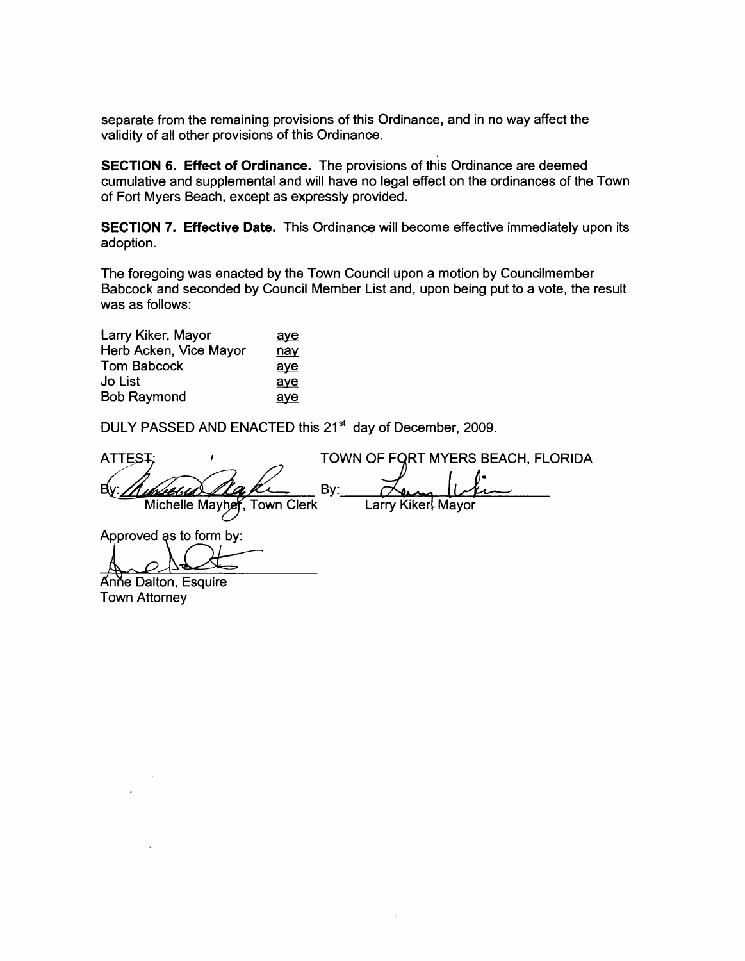separate from the remaining provisions of this Ordinance, and in no way affect the validity of all other provisions of this Ordinance.

SECTION 6. Effect of Ordinance. The provisions of this Ordinance are deemed cumulative and supplemental and will have no legal effect on the ordinances of the Town of Fort Myers Beach, except as expressly provided.

SECTION 7. Effective Date. This Ordinance will become effective immediately upon its adoption.

The foregoing was enacted by the Town Council upon a motion by Councilmember Babcock and seconded by Council Member List and, upon being put to a vote, the result was as follows:

| Larry Kiker, Mayor     | aye        |
|------------------------|------------|
| Herb Acken, Vice Mayor | <u>nay</u> |
| <b>Tom Babcock</b>     | aye        |
| <b>Jo List</b>         | aye        |
| <b>Bob Raymond</b>     | ave        |

DULY PASSED AND ENACTED this 21<sup>st</sup> day of December, 2009.

TOWN OF FORT MYERS BEACH, FLORIDA **ATTEST:** By: Bv: uh/el·l.d Michelle Mayher, Town Clerk Larry Kiker Mayor

Approved as to form by:

Anne Dalton, Esquire

Town Attorney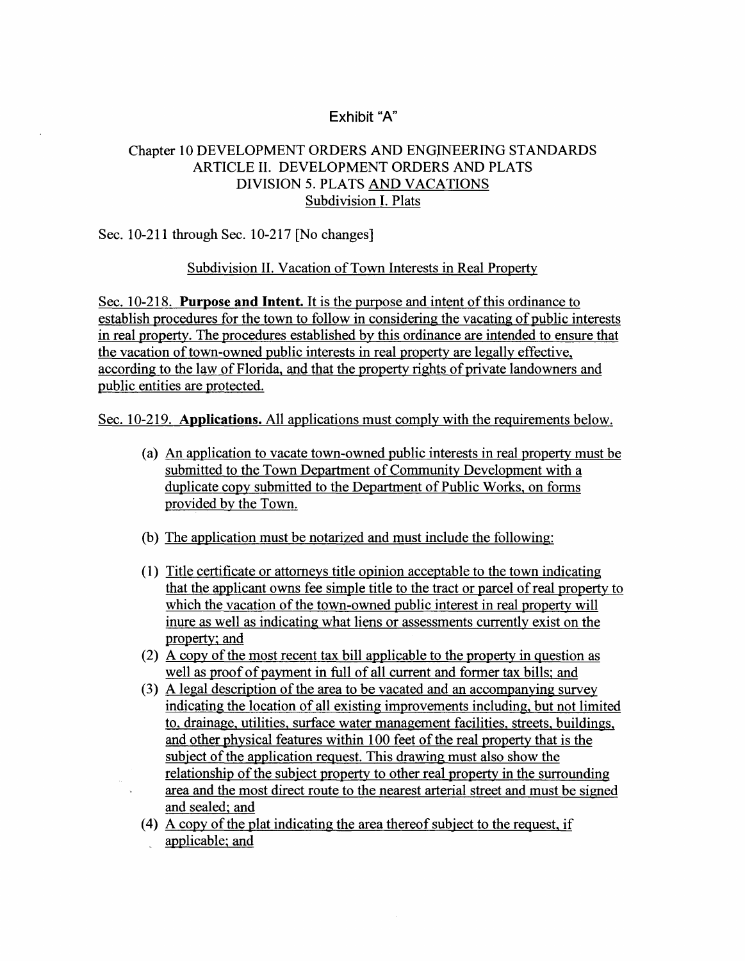# Exhibit "A"

## Chapter 10 DEVELOPMENT ORDERS AND ENGINEERING STANDARDS ARTICLE II. DEVELOPMENT ORDERS AND PLATS DIVISION 5. PLATS AND VACATIONS Subdivision I. Plats

### Sec. 10-211 through Sec. 10-217 [No changes]

### Subdivision II. Vacation of Town Interests in Real Property

Sec. 10-218. Purpose and Intent. It is the purpose and intent of this ordinance to establish procedures for the town to follow in considering the vacating of public interests in real property. The procedures established by this ordinance are intended to ensure that the vacation of town-owned public interests in real property are legally effective, according to the law of Florida, and that the property rights of private landowners and public entities are protected.

Sec. 10-219. Applications. All applications must comply with the requirements below.

- (a) An application to vacate town-owned public interests in real property must be submitted to the Town Department of Community Development with a duplicate copy submitted to the Department of Public Works, on forms provided by the Town.
- (b) The application must be notarized and must include the following:
- (l) Title certificate or attorneys title opinion acceptable to the town indicating that the applicant owns fee simple title to the tract or parcel of real property to which the vacation of the town-owned public interest in real property will inure as well as indicating what liens or assessments currently exist on the property; and
- (2) A copy of the most recent tax bill applicable to the property in question as well as proof of payment in full of all current and former tax bills; and
- (3) A legal description of the area to be vacated and an accompanying survey indicating the location of all existing improvements including, but not limited to. drainage, utilities, surface water management facilities. streets, buildings, and other physical features within 100 feet of the real property that is the subject of the application request. This drawing must also show the relationship of the subject property to other real property in the surrounding area and the most direct route to the nearest arterial street and must be signed and sealed; and
- (4) A copy of the plat indicating the area thereof subject to the request, if applicable; and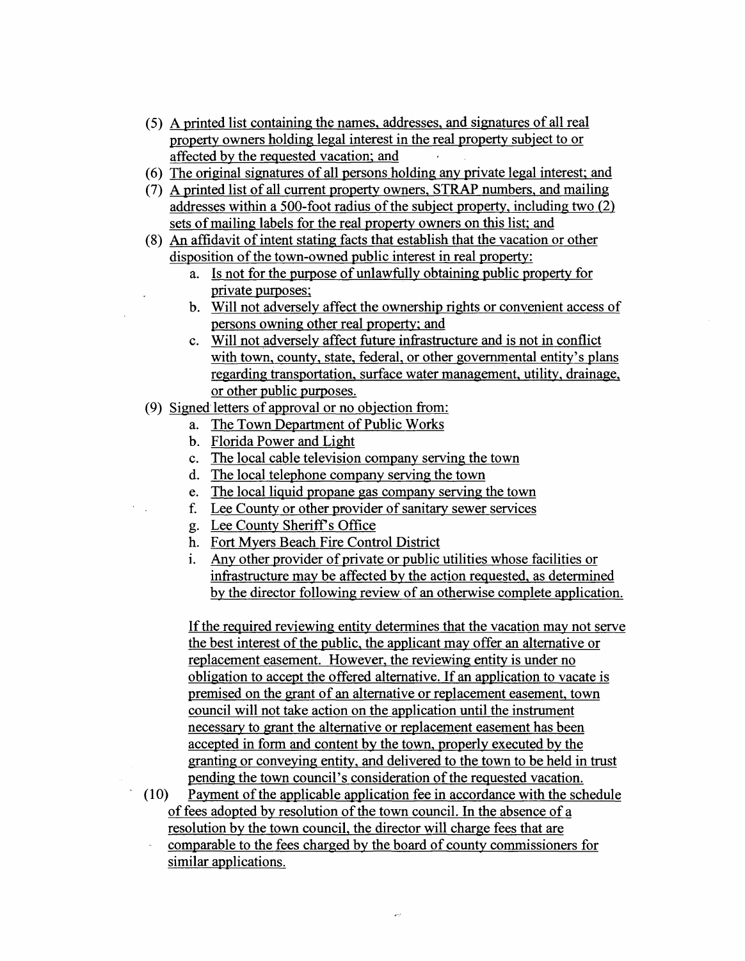- (5) A printed list containing the names, addresses, and signatures of all real property owners holding legal interest in the real property subject to or affected by the requested vacation; and
- (6) The original signatures of all persons holding any private legal interest; and
- (7) A printed list of all current property owners, STRAP numbers, and mailing addresses within a 500-foot radius of the subject property, including two (2) sets of mailing labels for the real property owners on this list; and
- (8) An affidavit of intent stating facts that establish that the vacation or other disposition of the town-owned public interest in real property:
	- a. Is not for the purpose of unlawfully obtaining public property for private purposes;
	- b. Will not adversely affect the ownership rights or convenient access of persons owning other real property; and
	- c. Will not adversely affect future infrastructure and is not in conflict with town, county, state, federal, or other governmental entity's plans regarding transportation, surface water management, utility, drainage, or other public purposes.
- (9) Signed-letters of approval or no objection from:
	- a. The Town Department of Public Works
	- b. Florida Power and Light
	- c. The local cable television company serving the town
	- d. The local telephone company serving the town
	- e. The local liquid propane gas company serving the town
	- f. Lee County or other provider of sanitary sewer services
	- g. Lee County Sheriff s Office
	- h. Fort Myers Beach Fire Control District
	- 1. Any other provider of private or public utilities whose facilities or infrastructure may be affected by the action requested, as determined by the director following review of an otherwise complete application.

If the required reviewing entity determines that the vacation may not serve the best interest of the public, the applicant may offer an alternative or replacement easement. However, the reviewing entity is under no obligation to accept the offered alternative. If an application to vacate is premised on the grant of an alternative or replacement easement, town council will not take action on the application until the instrument necessary to grant the alternative or replacement easement has been accepted in form and content by the town, properly executed by the granting or conveying entity, and delivered to the town to be held in trust pending the town council's consideration of the requested vacation.

(10) Payment of the applicable application fee in accordance with the schedule of fees adopted by resolution of the town council. In the absence of a resolution by the town council, the director will charge fees that are comparable to the fees charged by the board of county commissioners for similar applications.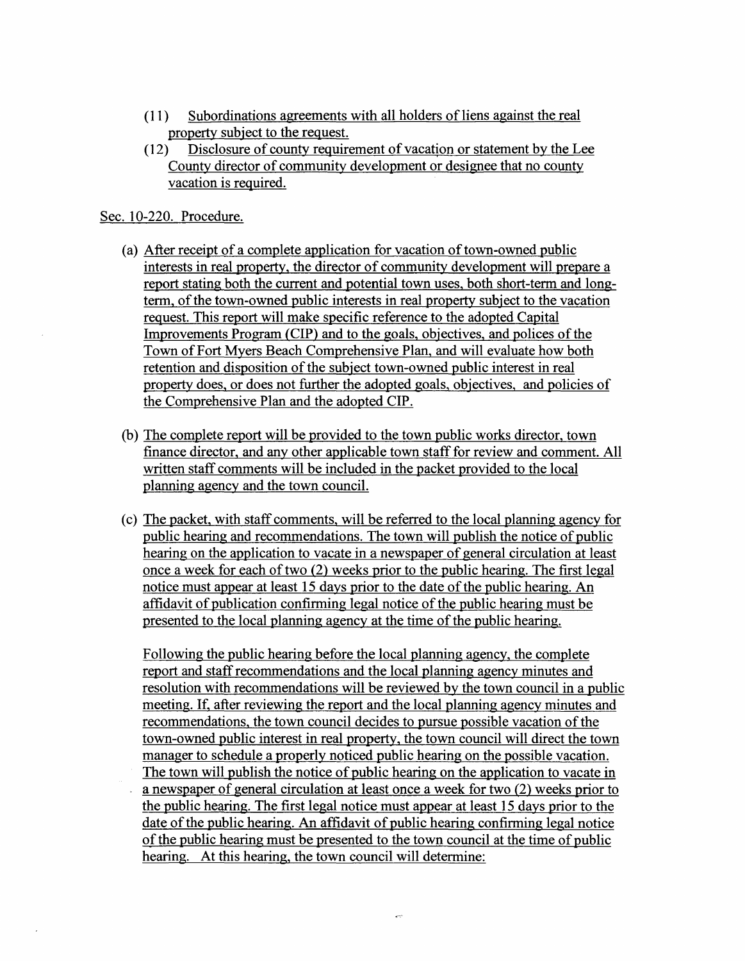- (11 ) Subordinations agreements with all holders of liens against the real property subject to the request.
- (12) Disclosure of county requirement of vacation or statement by the Lee County director of community development or designee that no county vacation is required.

Sec. 10-220. Procedure.

- (a) After receipt of a complete application for vacation of town-owned public interests in real property, the director of community development will prepare a report stating both the current and potential town uses, both short-term and longterm, of the town-owned public interests in real property subject to the vacation request. This report will make specific reference to the adopted Capital Improvements Program (CIP) and to the goals, objectives, and polices of the Town of Fort Myers Beach Comprehensive Plan, and will evaluate how both retention and disposition of the subject town-owned public interest in real property does, or does not further the adopted goals, objectives, and policies of the Comprehensive Plan and the adopted CIP.
- (b) The complete report will be provided to the town public works director, town finance director, and any other applicable town staff for review and comment. All written staff comments will be included in the packet provided to the local planning agency and the town council.
- (c) The packet. with staff comments, will be referred to the local planning agency for public hearing and recommendations. The town will publish the notice of public hearing on the application to vacate in a newspaper of general circulation at least once a week for each of two (2) weeks prior to the public hearing. The first legal notice must appear at least 15 days prior to the date of the public hearing. An affidavit of publication confirming legal notice of the public hearing must be presented to the local planning agency at the time of the public hearing.

Following the public hearing before the local planning agency, the complete report and staff recommendations and the local planning agency minutes and resolution with recommendations will be reviewed by the town council in a public meeting. If, after reviewing the report and the local planning agency minutes and recommendations, the town council decides to pursue possible vacation of the town-owned public interest in real property, the town council will direct the town manager to schedule a properly noticed public hearing on the possible vacation. The town will publish the notice of public hearing on the application to vacate in a newspaper of general circulation at least once a week for two (2) weeks prior to the public hearing. The first legal notice must appear at least 15 days prior to the date of the public hearing. An affidavit of public hearing confirming legal notice of the public hearing must be presented to the town council at the time of public hearing. At this hearing, the town council will determine: